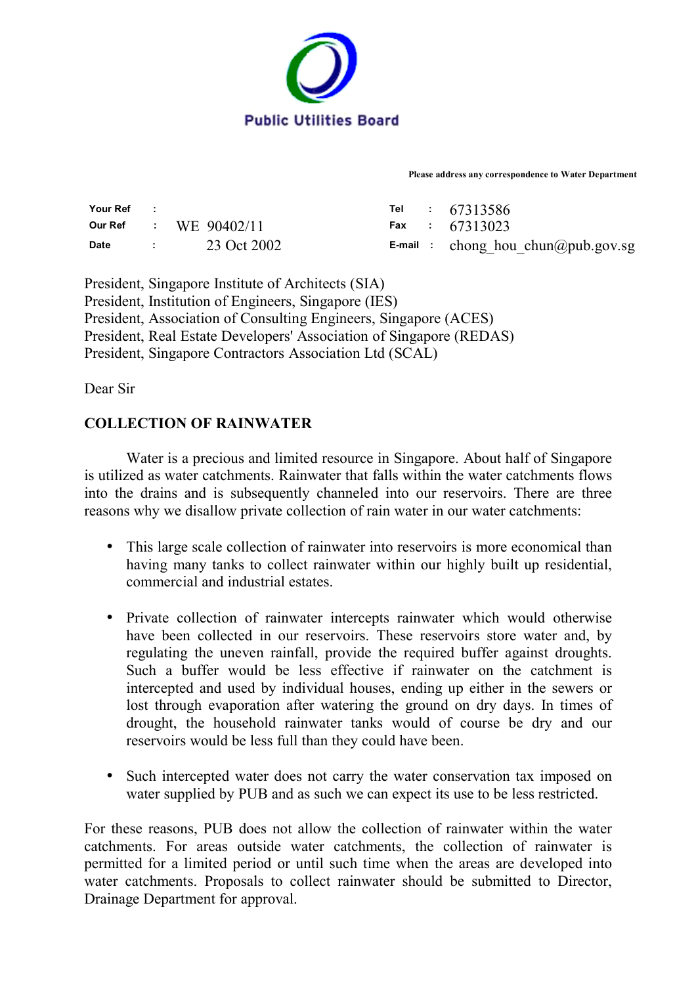

**Please address any correspondence to Water Department** 

| Your Ref | <b>Contractor</b> |                         |  | Tel : 67313586                            |
|----------|-------------------|-------------------------|--|-------------------------------------------|
|          |                   | Our Ref : $WE 90402/11$ |  | Fax : $67313023$                          |
| Date     |                   | $23 \text{ Oct } 2002$  |  | <b>E-mail</b> : chong hou chun@pub.gov.sg |

President, Singapore Institute of Architects (SIA) President, Institution of Engineers, Singapore (IES) President, Association of Consulting Engineers, Singapore (ACES) President, Real Estate Developers' Association of Singapore (REDAS) President, Singapore Contractors Association Ltd (SCAL)

Dear Sir

## **COLLECTION OF RAINWATER**

 Water is a precious and limited resource in Singapore. About half of Singapore is utilized as water catchments. Rainwater that falls within the water catchments flows into the drains and is subsequently channeled into our reservoirs. There are three reasons why we disallow private collection of rain water in our water catchments:

- This large scale collection of rainwater into reservoirs is more economical than having many tanks to collect rainwater within our highly built up residential, commercial and industrial estates.
- Private collection of rainwater intercepts rainwater which would otherwise have been collected in our reservoirs. These reservoirs store water and, by regulating the uneven rainfall, provide the required buffer against droughts. Such a buffer would be less effective if rainwater on the catchment is intercepted and used by individual houses, ending up either in the sewers or lost through evaporation after watering the ground on dry days. In times of drought, the household rainwater tanks would of course be dry and our reservoirs would be less full than they could have been.
- Such intercepted water does not carry the water conservation tax imposed on water supplied by PUB and as such we can expect its use to be less restricted.

For these reasons, PUB does not allow the collection of rainwater within the water catchments. For areas outside water catchments, the collection of rainwater is permitted for a limited period or until such time when the areas are developed into water catchments. Proposals to collect rainwater should be submitted to Director, Drainage Department for approval.